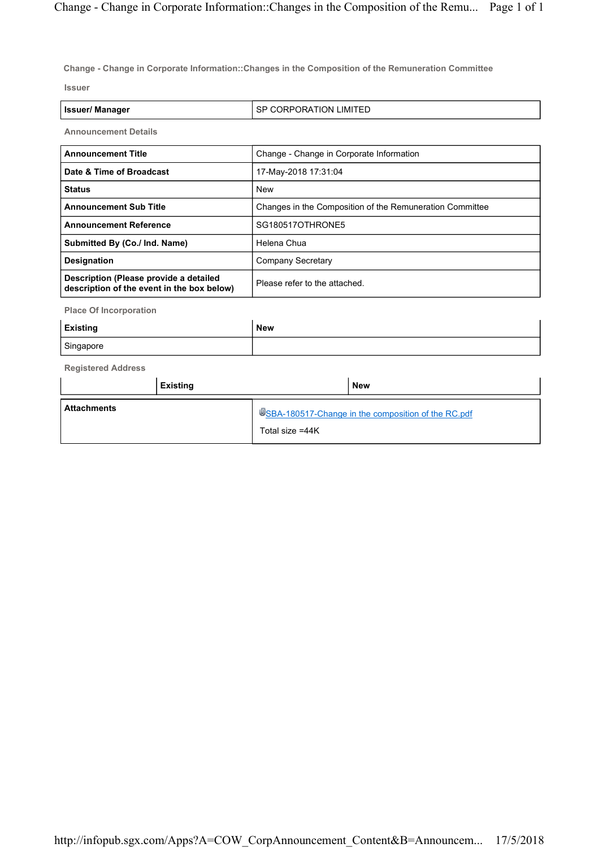Change - Change in Corporate Information::Changes in the Composition of the Remuneration Committee

Issuer

| <b>Issuer/Manager</b>       | I SP CORPORATION LIMITED                 |  |
|-----------------------------|------------------------------------------|--|
| <b>Announcement Details</b> |                                          |  |
| l Announcement Title        | Change - Change in Corporate Information |  |

| Date & Time of Broadcast                                                             | 17-May-2018 17:31:04                                     |  |
|--------------------------------------------------------------------------------------|----------------------------------------------------------|--|
| <b>Status</b>                                                                        | <b>New</b>                                               |  |
| <b>Announcement Sub Title</b>                                                        | Changes in the Composition of the Remuneration Committee |  |
| <b>Announcement Reference</b>                                                        | SG180517OTHRONE5                                         |  |
| Submitted By (Co./ Ind. Name)                                                        | Helena Chua                                              |  |
| <b>Designation</b>                                                                   | Company Secretary                                        |  |
| Description (Please provide a detailed<br>description of the event in the box below) | Please refer to the attached.                            |  |

Place Of Incorporation

| <b>Existing</b> | New |
|-----------------|-----|
| Singapore       |     |

Registered Address

|                    | Existing |                 | <b>New</b>                                          |
|--------------------|----------|-----------------|-----------------------------------------------------|
| <b>Attachments</b> |          | Total size =44K | USBA-180517-Change in the composition of the RC.pdf |